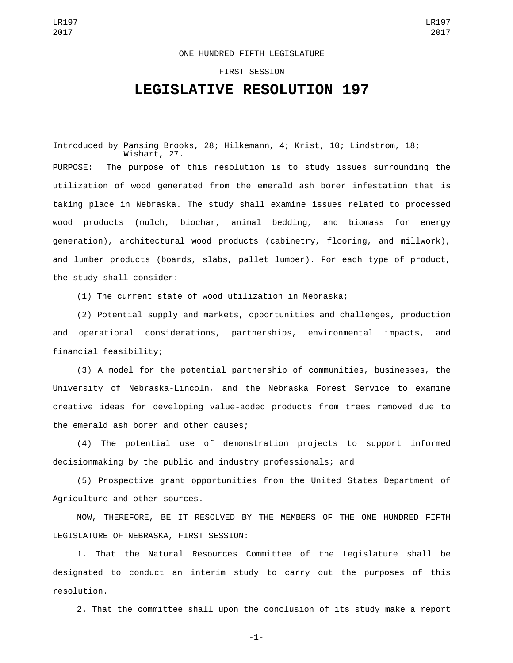## ONE HUNDRED FIFTH LEGISLATURE

## FIRST SESSION **LEGISLATIVE RESOLUTION 197**

Introduced by Pansing Brooks, 28; Hilkemann, 4; Krist, 10; Lindstrom, 18; Wishart, 27. PURPOSE: The purpose of this resolution is to study issues surrounding the utilization of wood generated from the emerald ash borer infestation that is taking place in Nebraska. The study shall examine issues related to processed wood products (mulch, biochar, animal bedding, and biomass for energy generation), architectural wood products (cabinetry, flooring, and millwork), and lumber products (boards, slabs, pallet lumber). For each type of product, the study shall consider:

(1) The current state of wood utilization in Nebraska;

(2) Potential supply and markets, opportunities and challenges, production and operational considerations, partnerships, environmental impacts, and financial feasibility;

(3) A model for the potential partnership of communities, businesses, the University of Nebraska-Lincoln, and the Nebraska Forest Service to examine creative ideas for developing value-added products from trees removed due to the emerald ash borer and other causes;

(4) The potential use of demonstration projects to support informed decisionmaking by the public and industry professionals; and

(5) Prospective grant opportunities from the United States Department of Agriculture and other sources.

NOW, THEREFORE, BE IT RESOLVED BY THE MEMBERS OF THE ONE HUNDRED FIFTH LEGISLATURE OF NEBRASKA, FIRST SESSION:

1. That the Natural Resources Committee of the Legislature shall be designated to conduct an interim study to carry out the purposes of this resolution.

2. That the committee shall upon the conclusion of its study make a report

-1-